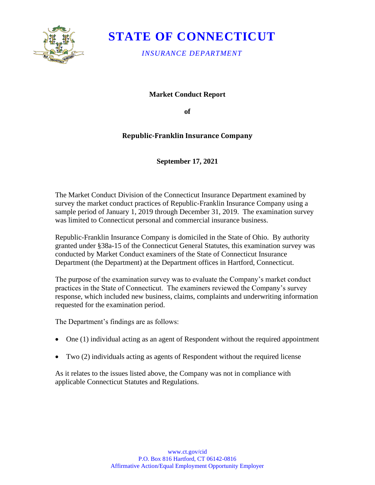

# **STATE OF CONNECTICUT**

*INSURANCE DEPARTMENT*

**Market Conduct Report**

**of** 

## **Republic-Franklin Insurance Company**

### **September 17, 2021**

The Market Conduct Division of the Connecticut Insurance Department examined by survey the market conduct practices of Republic-Franklin Insurance Company using a sample period of January 1, 2019 through December 31, 2019. The examination survey was limited to Connecticut personal and commercial insurance business.

Republic-Franklin Insurance Company is domiciled in the State of Ohio. By authority granted under §38a-15 of the Connecticut General Statutes, this examination survey was conducted by Market Conduct examiners of the State of Connecticut Insurance Department (the Department) at the Department offices in Hartford, Connecticut.

The purpose of the examination survey was to evaluate the Company's market conduct practices in the State of Connecticut. The examiners reviewed the Company's survey response, which included new business, claims, complaints and underwriting information requested for the examination period.

The Department's findings are as follows:

- One (1) individual acting as an agent of Respondent without the required appointment
- Two (2) individuals acting as agents of Respondent without the required license

As it relates to the issues listed above, the Company was not in compliance with applicable Connecticut Statutes and Regulations.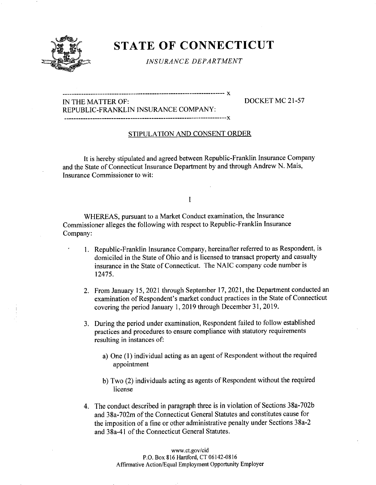

## STATE OF CONNECTICUT

INSURANCE DEPARTMENT

IN THE MATTER OF: DOCKET MC 21-57

REPUBLIC-FRANKLIN INSURANCE COMPANY: 

### STIPULATION AND CONSENT ORDER

It is hereby stipulated and agreed between Republic-Franklin Insurance Company and the State of Connecticut Insurance Department by and through Andrew N. Mais, Insurance Commissioner to wit:

#### I

WHEREAS, pursuant to a Market Conduct examination, the Insurance Commissioner alleges the following with respect to Republic-Franklin Insurance Company:

- 1. Republic-Franklin Insurance Company, hereinafter referred to as Respondent, is domiciled in the State of Ohio and is licensed to transact property and casualty insurance in the State of Connecticut. The NAIC company code number is 12475.
- 2. From January 15, 2021 through September 17, 2021, the Department conducted an examination of Respondent's market conduct practices in the State of Connecticut covering the period January 1, 2019 through December 31, 2019.
- 3. During the period under examination, Respondent failed to follow established practices and procedures to ensure compliance with statutory requirements resulting in instances of:
	- a) One (1) individual acting as an agent of Respondent without the required appointment
	- b) Two (2) individuals acting as agents of Respondent without the required license
- 4. The conduct described in paragraph three is in violation of Sections 38a-702b and 38a-702m of the Connecticut General Statutes and constitutes cause for the imposition of a fine or other administrative penalty under Sections 38a-2 and 38a-41 of the Connecticut General Statutes.

www.ct.gov/cid P.O. Box 816 Hartford, CT 06142-0816 Affirmative Action/Equal Employment Opportunity Employer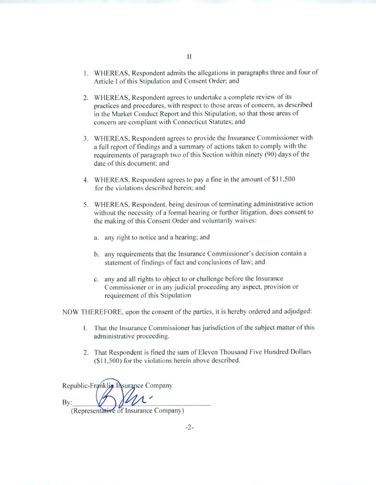- 2. WHEREAS, Respondent agrees to undertake a complete review of its practices and procedures, with respect to those areas of concern, as described in the Market Conduct Report and this Stipulation, so that those areas of concern are compliant with Connecticut Statutes; and
- 3. WHEREAS, Respondent agrees to provide the Insurance Commissioner with a full report of findings and a summary of actions taken to comply with the requirements of paragraph two of this Section within ninety (90) days of the date of this document: and
- 4. WHEREAS, Respondent agrees to pay a tine in the amount of \$11,500 for the violations described herein; and
- 5. WHEREAS, Respondent, being desirous of terminating administrative action without the necessity of a formal hearing or further litigation, does consent to the making of this Consent Order and voluntarily waives:
	- a. any right to notice and a hearing; and
	- b. any requirements that the Insurance Commissioner's decision contain a statement of findings of fact and conclusions of law; and
	- c. any and all rights to object to or challenge before the Insurance Commissioner or in any judicial proceeding any aspect, provision or requirement of this Stipulation

NOW THEREFORE, upon the consent of the parties, it is hereby ordered and adjudged:

- 1. That the Insurance Commissioner has jurisdiction of the subject matter of this administrative proceeding.
- 2. That Respondent is fined the sum of Eleven Thousand Five Hundred Dollars (\$11.500) for the violations herein above described.

Republic-Franklin Insurance Company By: (Representative of Insurance Company)